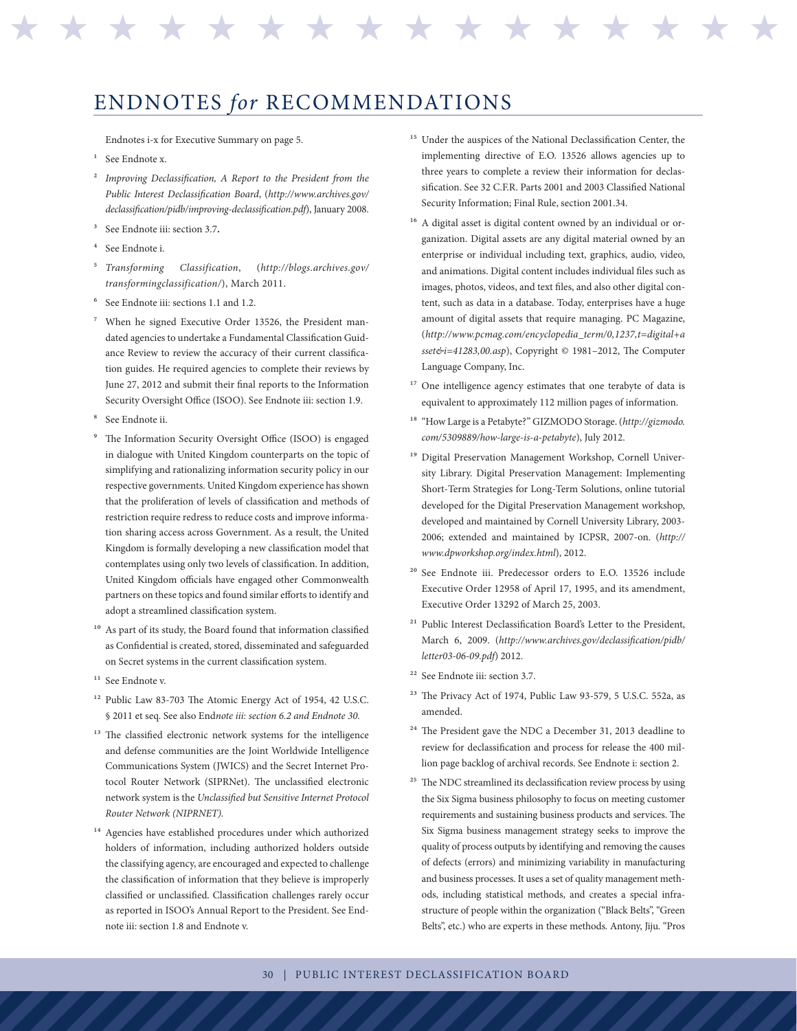## ENDNOTES *for* RECOMMENDATIONS

Endnotes i-x for Executive Summary on page 5.

- <sup>1</sup> See Endnote x.
- 2 *Improving Declassification, A Report to the President from the Public Interest Declassification Board*, (*http://www.archives.gov/ declassification/pidb/improving-declassification.pdf*), January 2008.
- 3 See Endnote iii: section 3.7**.**
- See Endnote i.
- 5 *Transforming Classification*, (*http://blogs.archives.gov/ transformingclassification/*), March 2011.
- See Endnote iii: sections 1.1 and 1.2.
- When he signed Executive Order 13526, the President mandated agencies to undertake a Fundamental Classification Guidance Review to review the accuracy of their current classification guides. He required agencies to complete their reviews by June 27, 2012 and submit their final reports to the Information Security Oversight Office (ISOO). See Endnote iii: section 1.9.
- See Endnote ii.
- The Information Security Oversight Office (ISOO) is engaged in dialogue with United Kingdom counterparts on the topic of simplifying and rationalizing information security policy in our respective governments. United Kingdom experience has shown that the proliferation of levels of classification and methods of restriction require redress to reduce costs and improve information sharing access across Government. As a result, the United Kingdom is formally developing a new classification model that contemplates using only two levels of classification. In addition, United Kingdom officials have engaged other Commonwealth partners on these topics and found similar efforts to identify and adopt a streamlined classification system.
- <sup>10</sup> As part of its study, the Board found that information classified as Confidential is created, stored, disseminated and safeguarded on Secret systems in the current classification system.
- <sup>11</sup> See Endnote v.
- 12 Public Law 83-703 The Atomic Energy Act of 1954, 42 U.S.C. § 2011 et seq. See also End*note iii: section 6.2 and Endnote 30.*
- <sup>13</sup> The classified electronic network systems for the intelligence and defense communities are the Joint Worldwide Intelligence Communications System (JWICS) and the Secret Internet Protocol Router Network (SIPRNet). The unclassified electronic network system is the *Unclassified but Sensitive Internet Protocol Router Network (NIPRNET).*
- <sup>14</sup> Agencies have established procedures under which authorized holders of information, including authorized holders outside the classifying agency, are encouraged and expected to challenge the classification of information that they believe is improperly classified or unclassified. Classification challenges rarely occur as reported in ISOO's Annual Report to the President. See Endnote iii: section 1.8 and Endnote v.

<sup>15</sup> Under the auspices of the National Declassification Center, the implementing directive of E.O. 13526 allows agencies up to three years to complete a review their information for declassification. See 32 C.F.R. Parts 2001 and 2003 Classified National Security Information; Final Rule, section 2001.34.

\* \* \* \* \* \* \* \* \* \* \* \* \* \* \* \* \*

- <sup>16</sup> A digital asset is digital content owned by an individual or organization. Digital assets are any digital material owned by an enterprise or individual including text, graphics, audio, video, and animations. Digital content includes individual files such as images, photos, videos, and text files, and also other digital content, such as data in a database. Today, enterprises have a huge amount of digital assets that require managing. PC Magazine, (*http://www.pcmag.com/encyclopedia\_term/0,1237,t=digital+a sset&i=41283,00.asp*), Copyright © 1981–2012, The Computer Language Company, Inc.
- <sup>17</sup> One intelligence agency estimates that one terabyte of data is equivalent to approximately 112 million pages of information.
- 18 "How Large is a Petabyte?" GIZMODO Storage. (*http://gizmodo. com/5309889/how-large-is-a-petabyte*), July 2012.
- 19 Digital Preservation Management Workshop, Cornell University Library. Digital Preservation Management: Implementing Short-Term Strategies for Long-Term Solutions, online tutorial developed for the Digital Preservation Management workshop, developed and maintained by Cornell University Library, 2003- 2006; extended and maintained by ICPSR, 2007-on. (*http:// www.dpworkshop.org/index.html*), 2012.
- 20 See Endnote iii. Predecessor orders to E.O. 13526 include Executive Order 12958 of April 17, 1995, and its amendment, Executive Order 13292 of March 25, 2003.
- 21 Public Interest Declassification Board's Letter to the President, March 6, 2009. (*http://www.archives.gov/declassification/pidb/ letter03-06-09.pdf*) 2012.
- 22 See Endnote iii: section 3.7.
- 23 The Privacy Act of 1974, Public Law 93-579, 5 U.S.C. 552a, as amended.
- 24 The President gave the NDC a December 31, 2013 deadline to review for declassification and process for release the 400 million page backlog of archival records. See Endnote i: section 2.
- <sup>25</sup> The NDC streamlined its declassification review process by using the Six Sigma business philosophy to focus on meeting customer requirements and sustaining business products and services. The Six Sigma business management strategy seeks to improve the quality of process outputs by identifying and removing the causes of defects (errors) and minimizing variability in manufacturing and business processes. It uses a set of quality management methods, including statistical methods, and creates a special infrastructure of people within the organization ("Black Belts", "Green Belts", etc.) who are experts in these methods. Antony, Jiju. "Pros